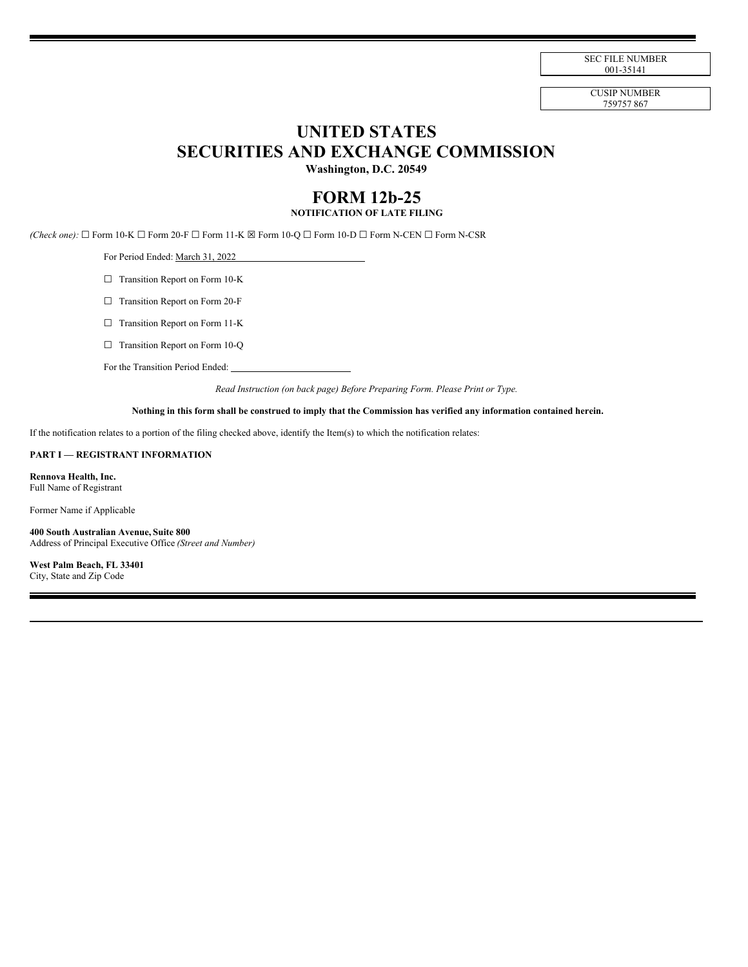SEC FILE NUMBER 001-35141

CUSIP NUMBER 759757 867

# **UNITED STATES SECURITIES AND EXCHANGE COMMISSION**

**Washington, D.C. 20549**

# **FORM 12b-25 NOTIFICATION OF LATE FILING**

*(Check one):* ☐ Form 10-K ☐ Form 20-F ☐ Form 11-K ☒ Form 10-Q ☐ Form 10-D ☐ Form N-CEN ☐ Form N-CSR

For Period Ended: March 31, 2022

□ Transition Report on Form 10-K

☐ Transition Report on Form 20-F

☐ Transition Report on Form 11-K

□ Transition Report on Form 10-Q

For the Transition Period Ended:

*Read Instruction (on back page) Before Preparing Form. Please Print or Type.*

## Nothing in this form shall be construed to imply that the Commission has verified any information contained herein.

If the notification relates to a portion of the filing checked above, identify the Item(s) to which the notification relates:

#### **PART I — REGISTRANT INFORMATION**

**Rennova Health, Inc.** Full Name of Registrant

Former Name if Applicable

**400 South Australian Avenue, Suite 800** Address of Principal Executive Office *(Street and Number)*

**West Palm Beach, FL 33401** City, State and Zip Code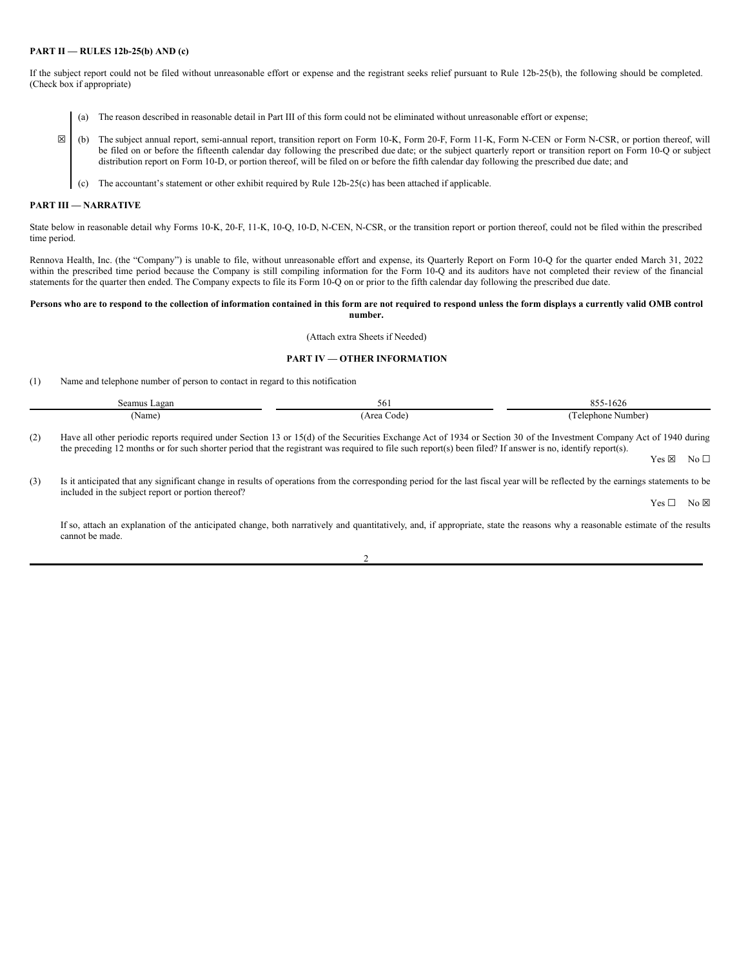### **PART II — RULES 12b-25(b) AND (c)**

If the subject report could not be filed without unreasonable effort or expense and the registrant seeks relief pursuant to Rule 12b-25(b), the following should be completed. (Check box if appropriate)

- (a) The reason described in reasonable detail in Part III of this form could not be eliminated without unreasonable effort or expense;
- ☒ (b) The subject annual report, semi-annual report, transition report on Form 10-K, Form 20-F, Form 11-K, Form N-CEN or Form N-CSR, or portion thereof, will be filed on or before the fifteenth calendar day following the prescribed due date; or the subject quarterly report or transition report on Form 10-Q or subject distribution report on Form 10-D, or portion thereof, will be filed on or before the fifth calendar day following the prescribed due date; and
	- (c) The accountant's statement or other exhibit required by Rule 12b-25(c) has been attached if applicable.

#### **PART III — NARRATIVE**

State below in reasonable detail why Forms 10-K, 20-F, 11-K, 10-Q, 10-D, N-CEN, N-CSR, or the transition report or portion thereof, could not be filed within the prescribed time period.

Rennova Health, Inc. (the "Company") is unable to file, without unreasonable effort and expense, its Quarterly Report on Form 10-Q for the quarter ended March 31, 2022 within the prescribed time period because the Company is still compiling information for the Form 10-Q and its auditors have not completed their review of the financial statements for the quarter then ended. The Company expects to file its Form 10-Q on or prior to the fifth calendar day following the prescribed due date.

#### Persons who are to respond to the collection of information contained in this form are not required to respond unless the form displays a currently valid OMB control **number.**

(Attach extra Sheets if Needed)

#### **PART IV — OTHER INFORMATION**

(1) Name and telephone number of person to contact in regard to this notification

| Seamus Lagan       | 56           | $Q \leq 4$<br>1626<br>ບບບ |
|--------------------|--------------|---------------------------|
| 'Name <sub>r</sub> | Area<br>Code | l'elephone Number)        |

(2) Have all other periodic reports required under Section 13 or 15(d) of the Securities Exchange Act of 1934 or Section 30 of the Investment Company Act of 1940 during the preceding 12 months or for such shorter period that the registrant was required to file such report(s) been filed? If answer is no, identify report(s).

Yes ⊠ No □

(3) Is it anticipated that any significant change in results of operations from the corresponding period for the last fiscal year will be reflected by the earnings statements to be included in the subject report or portion thereof?

Yes □ No ⊠

If so, attach an explanation of the anticipated change, both narratively and quantitatively, and, if appropriate, state the reasons why a reasonable estimate of the results cannot be made.

| ł<br>×, |  |
|---------|--|
| I       |  |
|         |  |